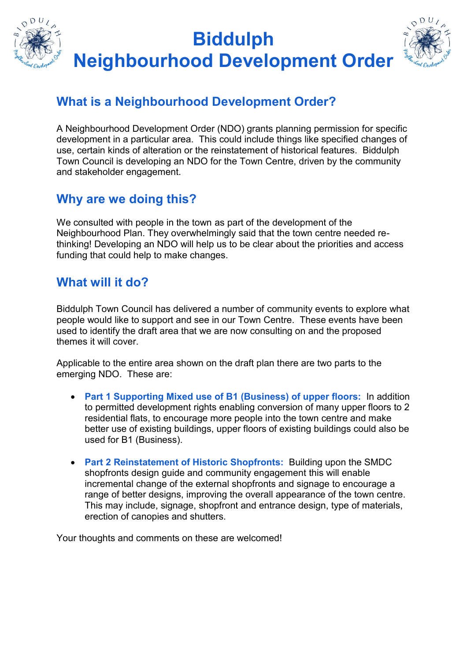

## **What is a Neighbourhood Development Order?**

A Neighbourhood Development Order (NDO) grants planning permission for specific development in a particular area. This could include things like specified changes of use, certain kinds of alteration or the reinstatement of historical features. Biddulph Town Council is developing an NDO for the Town Centre, driven by the community and stakeholder engagement.

## **Why are we doing this?**

We consulted with people in the town as part of the development of the Neighbourhood Plan. They overwhelmingly said that the town centre needed rethinking! Developing an NDO will help us to be clear about the priorities and access funding that could help to make changes.

### **What will it do?**

Biddulph Town Council has delivered a number of community events to explore what people would like to support and see in our Town Centre. These events have been used to identify the draft area that we are now consulting on and the proposed themes it will cover.

Applicable to the entire area shown on the draft plan there are two parts to the emerging NDO. These are:

- **Part 1 Supporting Mixed use of B1 (Business) of upper floors:** In addition to permitted development rights enabling conversion of many upper floors to 2 residential flats, to encourage more people into the town centre and make better use of existing buildings, upper floors of existing buildings could also be used for B1 (Business).
- **Part 2 Reinstatement of Historic Shopfronts:** Building upon the SMDC shopfronts design guide and community engagement this will enable incremental change of the external shopfronts and signage to encourage a range of better designs, improving the overall appearance of the town centre. This may include, signage, shopfront and entrance design, type of materials, erection of canopies and shutters.

Your thoughts and comments on these are welcomed!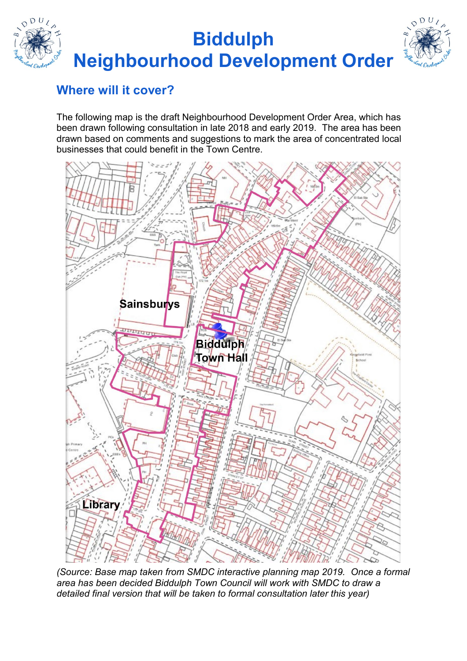# **Biddulph Neighbourhood Development Order**



# **Where will it cover?**

The following map is the draft Neighbourhood Development Order Area, which has been drawn following consultation in late 2018 and early 2019. The area has been drawn based on comments and suggestions to mark the area of concentrated local businesses that could benefit in the Town Centre.



*(Source: Base map taken from SMDC interactive planning map 2019. Once a formal area has been decided Biddulph Town Council will work with SMDC to draw a detailed final version that will be taken to formal consultation later this year)*